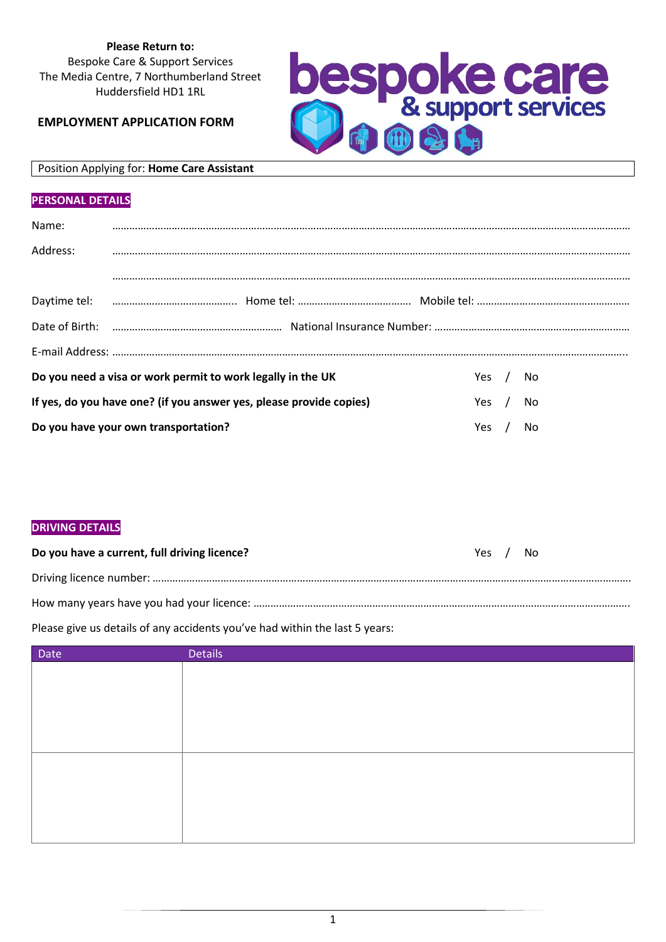**Please Return to:** Bespoke Care & Support Services The Media Centre, 7 Northumberland Street Huddersfield HD1 1RL

## **EMPLOYMENT APPLICATION FORM**



#### Position Applying for: **Home Care Assistant**

## **PERSONAL DETAILS**

| Name:    |                                                                     |          |     |
|----------|---------------------------------------------------------------------|----------|-----|
| Address: |                                                                     |          |     |
|          |                                                                     |          |     |
|          |                                                                     |          |     |
|          |                                                                     |          |     |
|          |                                                                     |          |     |
|          |                                                                     |          |     |
|          | Do you need a visa or work permit to work legally in the UK         | Yes / No |     |
|          | If yes, do you have one? (if you answer yes, please provide copies) | Yes /    | No. |
|          | Do you have your own transportation?                                | Yes      | No  |

## **DRIVING DETAILS**

| Do you have a current, full driving licence? | Yes / No |  |
|----------------------------------------------|----------|--|
|                                              |          |  |
|                                              |          |  |

Please give us details of any accidents you've had within the last 5 years:

| <b>Details</b> |
|----------------|
|                |
|                |
|                |
|                |
|                |
|                |
|                |
|                |
|                |
|                |
|                |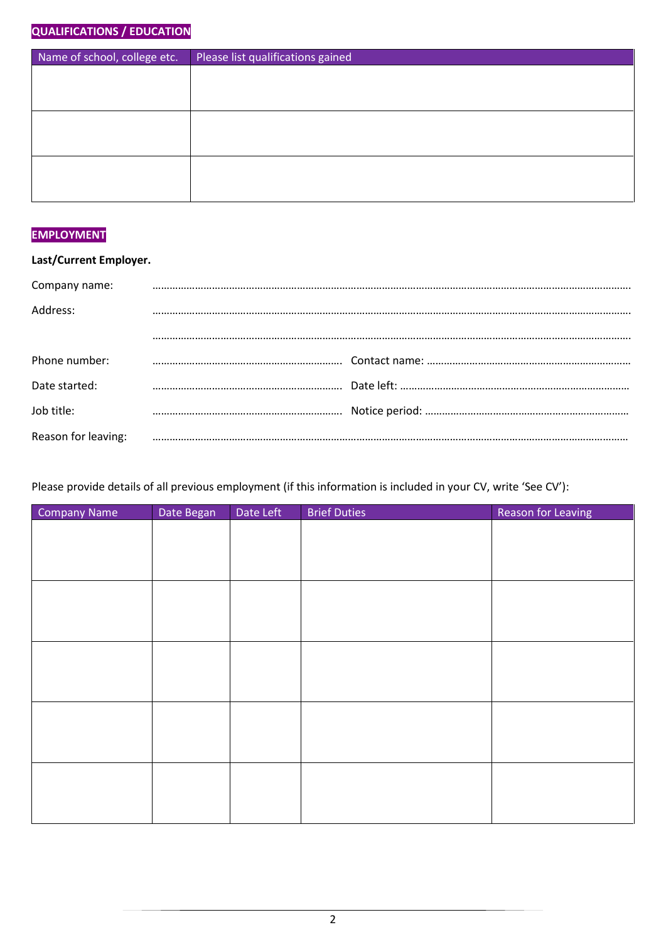# **QUALIFICATIONS / EDUCATION**

| Name of school, college etc. | Please list qualifications gained |
|------------------------------|-----------------------------------|
|                              |                                   |
|                              |                                   |
|                              |                                   |
|                              |                                   |
|                              |                                   |
|                              |                                   |
|                              |                                   |

# **EMPLOYMENT**

## **Last/Current Employer.**

| Company name:       |  |
|---------------------|--|
| Address:            |  |
|                     |  |
| Phone number:       |  |
| Date started:       |  |
| Job title:          |  |
| Reason for leaving: |  |

# Please provide details of all previous employment (if this information is included in your CV, write 'See CV'):

| <b>Company Name</b> | Date Began | Date Left | <b>Brief Duties</b> | <b>Reason for Leaving</b> |
|---------------------|------------|-----------|---------------------|---------------------------|
|                     |            |           |                     |                           |
|                     |            |           |                     |                           |
|                     |            |           |                     |                           |
|                     |            |           |                     |                           |
|                     |            |           |                     |                           |
|                     |            |           |                     |                           |
|                     |            |           |                     |                           |
|                     |            |           |                     |                           |
|                     |            |           |                     |                           |
|                     |            |           |                     |                           |
|                     |            |           |                     |                           |
|                     |            |           |                     |                           |
|                     |            |           |                     |                           |
|                     |            |           |                     |                           |
|                     |            |           |                     |                           |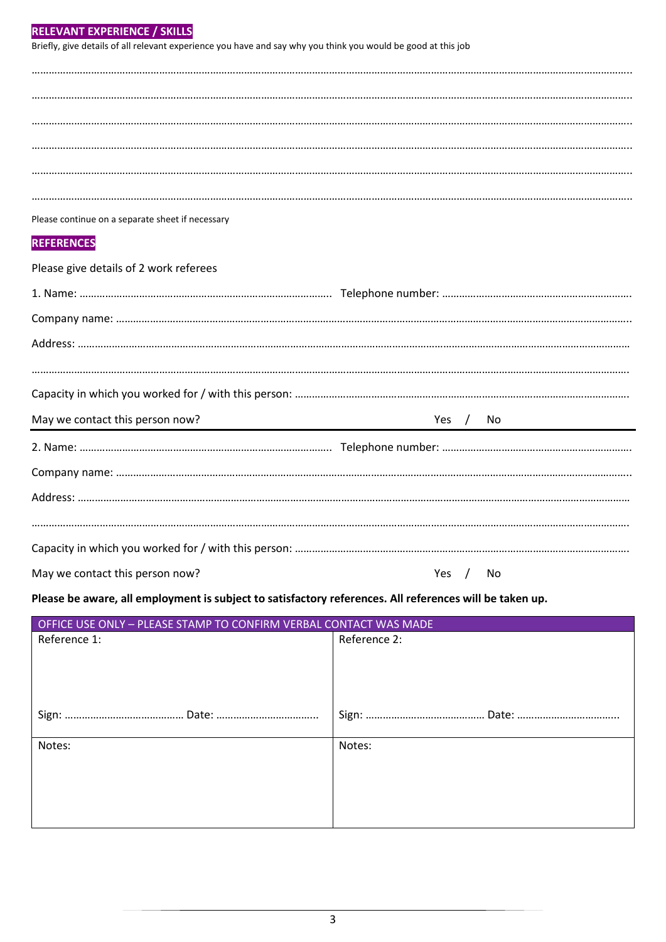## **RELEVANT EXPERIENCE / SKILLS**

Briefly, give details of all relevant experience you have and say why you think you would be good at this job

| Please continue on a separate sheet if necessary |         |       |    |  |
|--------------------------------------------------|---------|-------|----|--|
| <b>REFERENCES</b>                                |         |       |    |  |
| Please give details of 2 work referees           |         |       |    |  |
|                                                  |         |       |    |  |
|                                                  |         |       |    |  |
|                                                  |         |       |    |  |
|                                                  |         |       |    |  |
|                                                  |         |       |    |  |
| May we contact this person now?                  |         | Yes / | No |  |
|                                                  |         |       |    |  |
|                                                  |         |       |    |  |
|                                                  |         |       |    |  |
|                                                  |         |       |    |  |
|                                                  |         |       |    |  |
| May we contact this person now?                  | Yes $/$ |       | No |  |

**Please be aware, all employment is subject to satisfactory references. All references will be taken up.**

| OFFICE USE ONLY - PLEASE STAMP TO CONFIRM VERBAL CONTACT WAS MADE |              |  |  |  |  |  |  |  |
|-------------------------------------------------------------------|--------------|--|--|--|--|--|--|--|
| Reference 1:                                                      | Reference 2: |  |  |  |  |  |  |  |
|                                                                   |              |  |  |  |  |  |  |  |
|                                                                   |              |  |  |  |  |  |  |  |
|                                                                   |              |  |  |  |  |  |  |  |
|                                                                   |              |  |  |  |  |  |  |  |
|                                                                   |              |  |  |  |  |  |  |  |
|                                                                   |              |  |  |  |  |  |  |  |
| Notes:                                                            | Notes:       |  |  |  |  |  |  |  |
|                                                                   |              |  |  |  |  |  |  |  |
|                                                                   |              |  |  |  |  |  |  |  |
|                                                                   |              |  |  |  |  |  |  |  |
|                                                                   |              |  |  |  |  |  |  |  |
|                                                                   |              |  |  |  |  |  |  |  |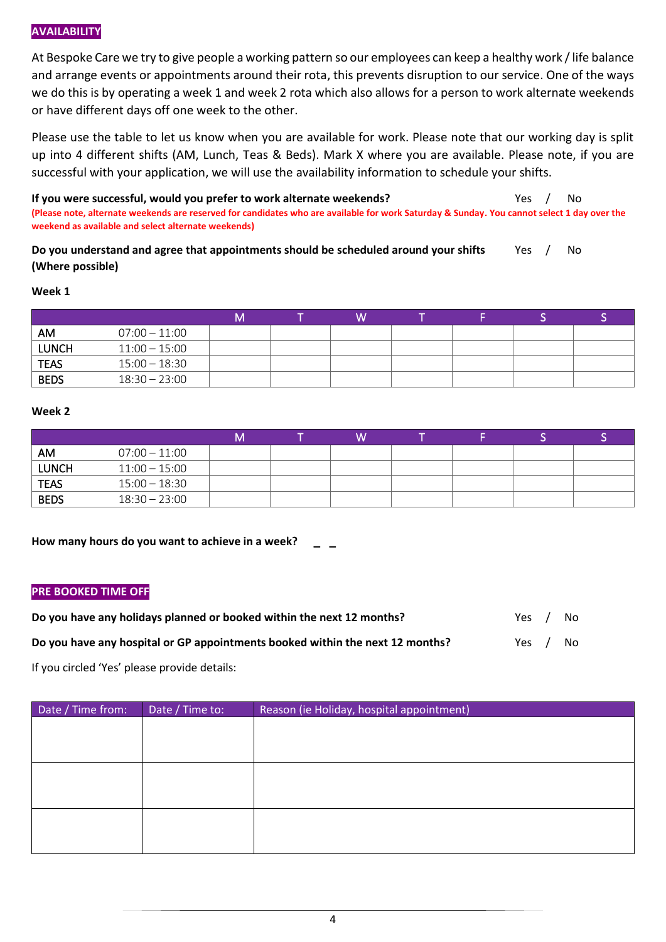## **AVAILABILITY**

At Bespoke Care we try to give people a working pattern so our employees can keep a healthy work / life balance and arrange events or appointments around their rota, this prevents disruption to our service. One of the ways we do this is by operating a week 1 and week 2 rota which also allows for a person to work alternate weekends or have different days off one week to the other.

Please use the table to let us know when you are available for work. Please note that our working day is split up into 4 different shifts (AM, Lunch, Teas & Beds). Mark X where you are available. Please note, if you are successful with your application, we will use the availability information to schedule your shifts.

**If you were successful, would you prefer to work alternate weekends?** Yes / No **(Please note, alternate weekends are reserved for candidates who are available for work Saturday & Sunday. You cannot select 1 day over the weekend as available and select alternate weekends)**

| Do you understand and agree that appointments should be scheduled around your shifts | Yes | No |
|--------------------------------------------------------------------------------------|-----|----|
| (Where possible)                                                                     |     |    |

#### **Week 1**

|              |                 |  | w |  |  |
|--------------|-----------------|--|---|--|--|
| AM           | $07:00 - 11:00$ |  |   |  |  |
| <b>LUNCH</b> | $11:00 - 15:00$ |  |   |  |  |
| <b>TEAS</b>  | $15:00 - 18:30$ |  |   |  |  |
| <b>BEDS</b>  | $18:30 - 23:00$ |  |   |  |  |

## **Week 2**

|              |                 |  | W |  |  |
|--------------|-----------------|--|---|--|--|
| AM           | $07:00 - 11:00$ |  |   |  |  |
| <b>LUNCH</b> | $11:00 - 15:00$ |  |   |  |  |
| <b>TEAS</b>  | $15:00 - 18:30$ |  |   |  |  |
| <b>BEDS</b>  | $18:30 - 23:00$ |  |   |  |  |

**How many hours do you want to achieve in a week? \_ \_**

## **PRE BOOKED TIME OFF**

| Do you have any holidays planned or booked within the next 12 months?         | Yes   | No. |
|-------------------------------------------------------------------------------|-------|-----|
| Do you have any hospital or GP appointments booked within the next 12 months? | Yes / | No. |

If you circled 'Yes' please provide details:

| Date / Time from: | Date / Time to: | Reason (ie Holiday, hospital appointment) |
|-------------------|-----------------|-------------------------------------------|
|                   |                 |                                           |
|                   |                 |                                           |
|                   |                 |                                           |
|                   |                 |                                           |
|                   |                 |                                           |
|                   |                 |                                           |
|                   |                 |                                           |
|                   |                 |                                           |
|                   |                 |                                           |

4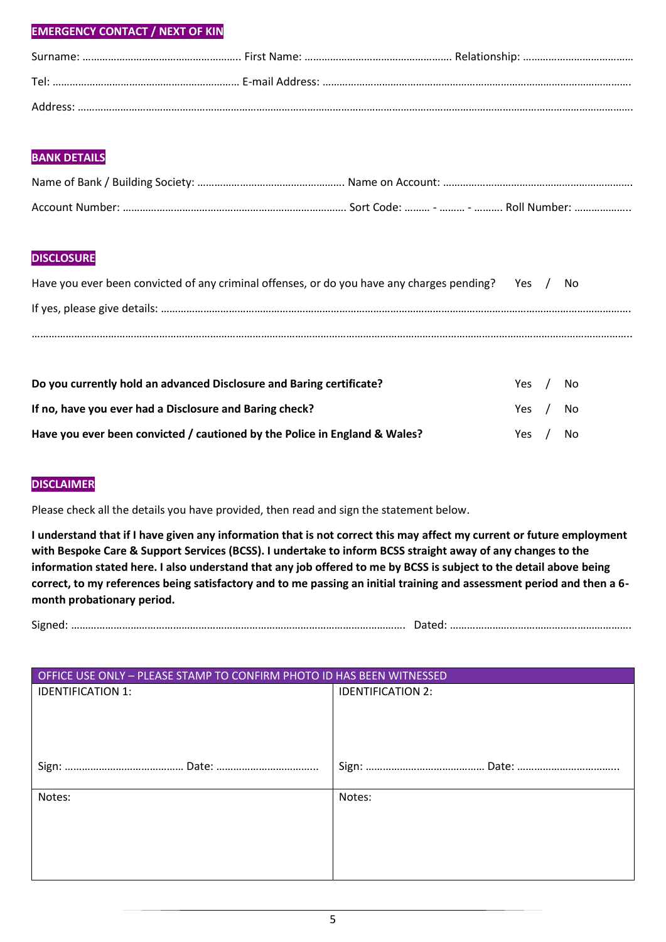## **EMERGENCY CONTACT / NEXT OF KIN**

| Tel:     |  |
|----------|--|
| Address: |  |

## **BANK DETAILS**

## **DISCLOSURE**

| Have you ever been convicted of any criminal offenses, or do you have any charges pending? | Yes | No. |
|--------------------------------------------------------------------------------------------|-----|-----|
|                                                                                            |     |     |
|                                                                                            |     |     |

| Do you currently hold an advanced Disclosure and Baring certificate?       | Yes /    | No. |
|----------------------------------------------------------------------------|----------|-----|
| If no, have you ever had a Disclosure and Baring check?                    | Yes / No |     |
| Have you ever been convicted / cautioned by the Police in England & Wales? | Yes /    | No. |

## **DISCLAIMER**

Please check all the details you have provided, then read and sign the statement below.

**I understand that if I have given any information that is not correct this may affect my current or future employment with Bespoke Care & Support Services (BCSS). I undertake to inform BCSS straight away of any changes to the information stated here. I also understand that any job offered to me by BCSS is subject to the detail above being correct, to my references being satisfactory and to me passing an initial training and assessment period and then a 6 month probationary period.**

| - -<br>Signe<br> | walt |
|------------------|------|
|------------------|------|

| OFFICE USE ONLY - PLEASE STAMP TO CONFIRM PHOTO ID HAS BEEN WITNESSED |                          |
|-----------------------------------------------------------------------|--------------------------|
| <b>IDENTIFICATION 1:</b>                                              | <b>IDENTIFICATION 2:</b> |
|                                                                       |                          |
|                                                                       |                          |
|                                                                       |                          |
|                                                                       |                          |
|                                                                       |                          |
| Notes:                                                                | Notes:                   |
|                                                                       |                          |
|                                                                       |                          |
|                                                                       |                          |
|                                                                       |                          |
|                                                                       |                          |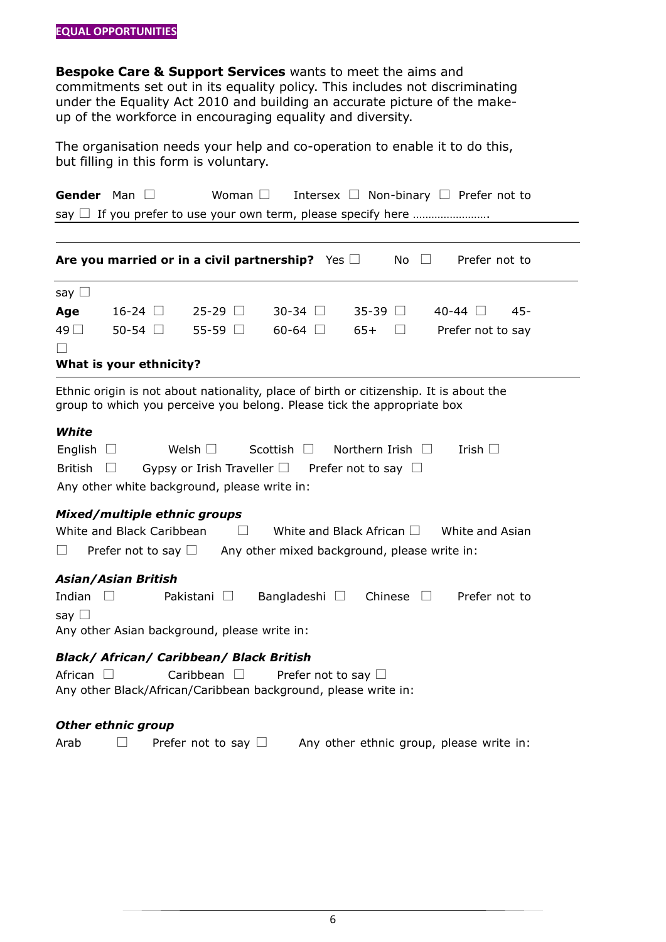**Bespoke Care & Support Services** wants to meet the aims and commitments set out in its equality policy. This includes not discriminating under the Equality Act 2010 and building an accurate picture of the makeup of the workforce in encouraging equality and diversity.

The organisation needs your help and co-operation to enable it to do this, but filling in this form is voluntary.

| Gender Man D                                                 |                                                                                                                                                                   | Woman $\Box$                                                   |                          |                     | Intersex $\Box$ Non-binary $\Box$ Prefer not to   |
|--------------------------------------------------------------|-------------------------------------------------------------------------------------------------------------------------------------------------------------------|----------------------------------------------------------------|--------------------------|---------------------|---------------------------------------------------|
|                                                              |                                                                                                                                                                   |                                                                |                          |                     |                                                   |
|                                                              |                                                                                                                                                                   |                                                                |                          |                     |                                                   |
|                                                              | Are you married or in a civil partnership? Yes $\square$                                                                                                          |                                                                |                          | No.<br>$\mathbf{1}$ | Prefer not to                                     |
| say $\square$                                                |                                                                                                                                                                   |                                                                |                          |                     |                                                   |
| Age                                                          | $16-24$ $\Box$                                                                                                                                                    | $25-29$                                                        | $30-34$ $\Box$           | $35-39$ $\Box$      | $45 -$<br>40-44 $\Box$                            |
| 49 □                                                         | 50-54 $\Box$                                                                                                                                                      | 55-59 $\Box$                                                   | 60-64 $\Box$             | $65+$<br>⊔          | Prefer not to say                                 |
| $\mathsf{L}$                                                 |                                                                                                                                                                   |                                                                |                          |                     |                                                   |
|                                                              | What is your ethnicity?                                                                                                                                           |                                                                |                          |                     |                                                   |
|                                                              | Ethnic origin is not about nationality, place of birth or citizenship. It is about the<br>group to which you perceive you belong. Please tick the appropriate box |                                                                |                          |                     |                                                   |
| White<br>English $\Box$<br><b>British</b>                    | Welsh $\vert \ \vert$<br>Any other white background, please write in:                                                                                             | Gypsy or Irish Traveller $\square$ Prefer not to say $\square$ | Scottish                 | Northern Irish $  $ | Irish $\square$                                   |
| ⊔                                                            | Mixed/multiple ethnic groups<br>White and Black Caribbean<br>Prefer not to say $\Box$ Any other mixed background, please write in:                                |                                                                |                          |                     | White and Black African $\square$ White and Asian |
| <b>Asian/Asian British</b><br>Indian<br>$\Box$<br>say $\Box$ | Any other Asian background, please write in:                                                                                                                      | Pakistani $\square$                                            | Bangladeshi $\square$    | Chinese $\Box$      | Prefer not to                                     |
| African $\square$                                            | <b>Black/ African/ Caribbean/ Black British</b><br>Any other Black/African/Caribbean background, please write in:                                                 | Caribbean $\square$                                            | Prefer not to say $\Box$ |                     |                                                   |
| Othar athnic aroun                                           |                                                                                                                                                                   |                                                                |                          |                     |                                                   |

## *Other ethnic group*

| Arab |
|------|
|------|

 $\Box$  Prefer not to say  $\Box$  Any other ethnic group, please write in: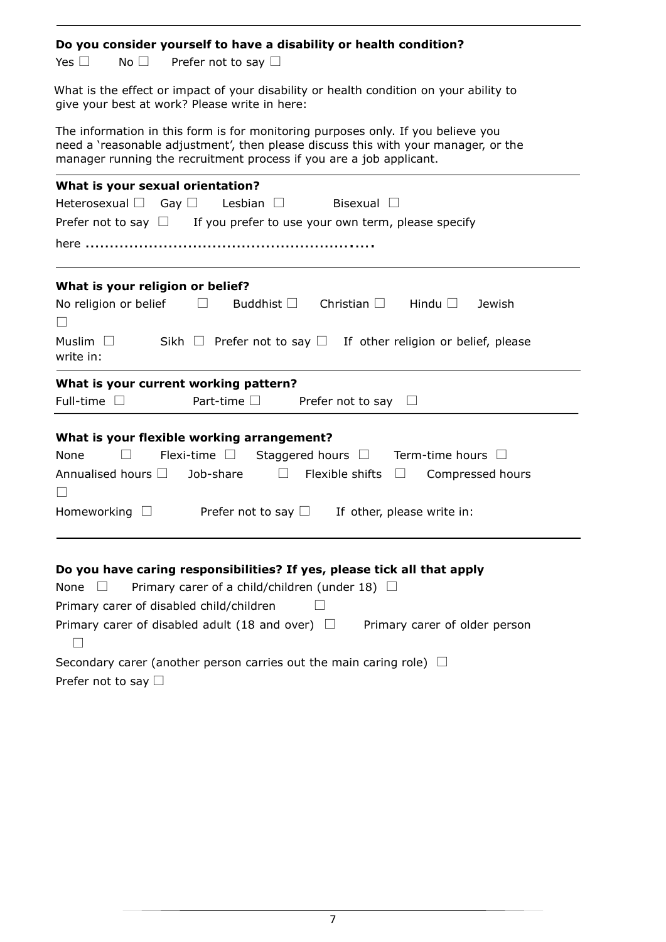## **Do you consider yourself to have a disability or health condition?**

Yes  $\Box$  No  $\Box$  Prefer not to say  $\Box$ 

What is the effect or impact of your disability or health condition on your ability to give your best at work? Please write in here:

The information in this form is for monitoring purposes only. If you believe you need a 'reasonable adjustment', then please discuss this with your manager, or the manager running the recruitment process if you are a job applicant.

| What is your sexual orientation?                                                                                               |  |  |  |  |
|--------------------------------------------------------------------------------------------------------------------------------|--|--|--|--|
| Heterosexual $\Box$ Gay $\Box$ Lesbian $\Box$<br>Bisexual $\Box$                                                               |  |  |  |  |
| Prefer not to say $\Box$ If you prefer to use your own term, please specify                                                    |  |  |  |  |
|                                                                                                                                |  |  |  |  |
| What is your religion or belief?                                                                                               |  |  |  |  |
| No religion or belief $\Box$ Buddhist $\Box$ Christian $\Box$ Hindu $\Box$<br>Jewish                                           |  |  |  |  |
| Muslim $\Box$ Sikh $\Box$ Prefer not to say $\Box$ If other religion or belief, please<br>write in:                            |  |  |  |  |
| What is your current working pattern?                                                                                          |  |  |  |  |
| Full-time $\Box$<br>Part-time $\square$<br>Prefer not to say $\Box$                                                            |  |  |  |  |
| What is your flexible working arrangement?<br>Flexi-time $\square$ Staggered hours $\square$ Term-time hours $\square$<br>None |  |  |  |  |
| Annualised hours $\Box$ Job-share $\Box$ Flexible shifts $\Box$ Compressed hours                                               |  |  |  |  |
| Homeworking $\Box$ Prefer not to say $\Box$ If other, please write in:                                                         |  |  |  |  |
| Do you have caring responsibilities? If yes, please tick all that apply                                                        |  |  |  |  |

# None  $\Box$  Primary carer of a child/children (under 18)  $\Box$ Primary carer of disabled child/children  $\Box$ Primary carer of disabled adult (18 and over)  $\Box$  Primary carer of older person  $\Box$ Secondary carer (another person carries out the main caring role)  $\Box$ Prefer not to say  $\square$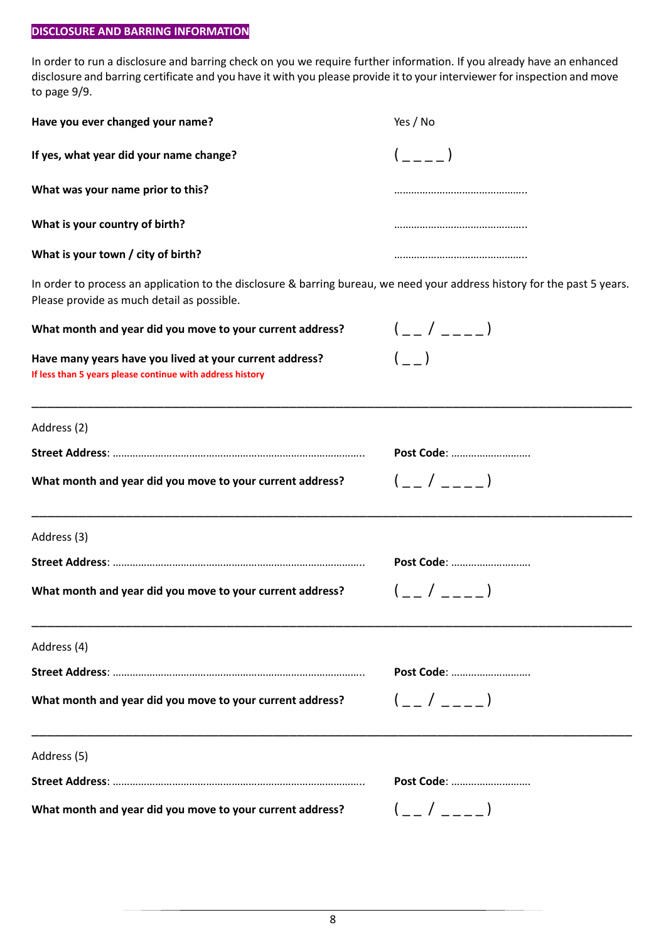# **DISCLOSURE AND BARRING INFORMATION**

In order to run a disclosure and barring check on you we require further information. If you already have an enhanced disclosure and barring certificate and you have it with you please provide it to your interviewer for inspection and move to page 9/9.

| Have you ever changed your name?                                                                                                                                        | Yes / No                                             |
|-------------------------------------------------------------------------------------------------------------------------------------------------------------------------|------------------------------------------------------|
| If yes, what year did your name change?                                                                                                                                 | $($ $)$                                              |
| What was your name prior to this?                                                                                                                                       |                                                      |
| What is your country of birth?                                                                                                                                          |                                                      |
| What is your town / city of birth?                                                                                                                                      |                                                      |
| In order to process an application to the disclosure & barring bureau, we need your address history for the past 5 years.<br>Please provide as much detail as possible. |                                                      |
| What month and year did you move to your current address?                                                                                                               | $($ <sub>_</sub> / _ _ _ )                           |
| Have many years have you lived at your current address?<br>If less than 5 years please continue with address history                                                    | $($ )                                                |
| Address (2)                                                                                                                                                             |                                                      |
|                                                                                                                                                                         | Post Code:                                           |
| What month and year did you move to your current address?                                                                                                               | $($ __/ ____)                                        |
| Address (3)                                                                                                                                                             |                                                      |
|                                                                                                                                                                         | Post Code:                                           |
| What month and year did you move to your current address?                                                                                                               | $($ $\angle$ $/$ $\angle$ $\angle$ $\angle$ $\angle$ |
| Address (4)                                                                                                                                                             |                                                      |
|                                                                                                                                                                         | Post Code:                                           |
| What month and year did you move to your current address?                                                                                                               | $($ __/ ____)                                        |
| Address (5)                                                                                                                                                             |                                                      |
|                                                                                                                                                                         | Post Code:                                           |
| What month and year did you move to your current address?                                                                                                               | $($ __/ ____)                                        |